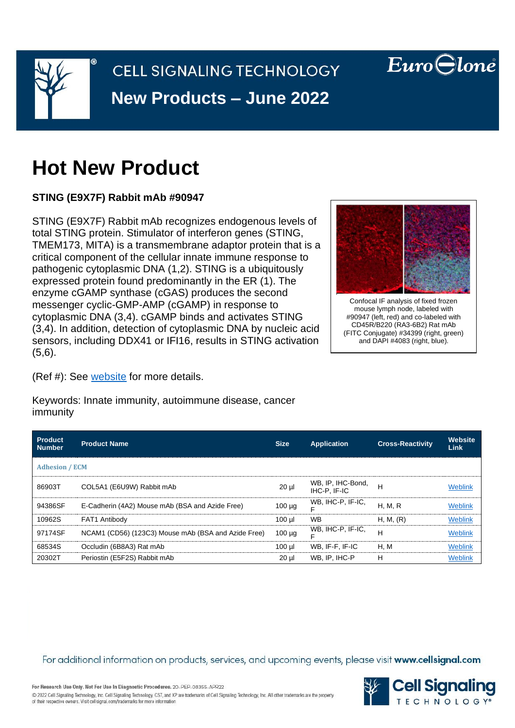

# **Hot New Product**

**STING (E9X7F) Rabbit mAb #90947**

STING (E9X7F) Rabbit mAb recognizes endogenous levels of total STING protein. Stimulator of interferon genes (STING, TMEM173, MITA) is a transmembrane adaptor protein that is a critical component of the cellular innate immune response to pathogenic cytoplasmic DNA (1,2). STING is a ubiquitously expressed protein found predominantly in the ER (1). The enzyme cGAMP synthase (cGAS) produces the second messenger cyclic-GMP-AMP (cGAMP) in response to cytoplasmic DNA (3,4). cGAMP binds and activates STING (3,4). In addition, detection of cytoplasmic DNA by nucleic acid sensors, including DDX41 or IFI16, results in STING activation (5,6).



 $EuroGlone$ 

Confocal IF analysis of fixed frozen mouse lymph node, labeled with #90947 (left, red) and co-labeled with CD45R/B220 (RA3-6B2) Rat mAb (FITC Conjugate) #34399 (right, green) and DAPI #4083 (right, blue).

(Ref #): See [website](https://www.cellsignal.com/products/primary-antibodies/sting-e9x7f-rabbit-mab/90947) for more details.

Keywords: Innate immunity, autoimmune disease, cancer immunity

| <b>Product</b><br>Number | <b>Product Name</b>                                 | <b>Size</b> | <b>Application</b>                | <b>Cross-Reactivity</b> | Website<br>Link |  |  |
|--------------------------|-----------------------------------------------------|-------------|-----------------------------------|-------------------------|-----------------|--|--|
| <b>Adhesion / ECM</b>    |                                                     |             |                                   |                         |                 |  |  |
| 86903T                   | COL5A1 (E6U9W) Rabbit mAb                           | $20 \mu$    | WB, IP, IHC-Bond,<br>IHC-P. IF-IC | H                       | <b>Weblink</b>  |  |  |
| 94386SF                  | E-Cadherin (4A2) Mouse mAb (BSA and Azide Free)     | $100 \mu g$ | WB, IHC-P, IF-IC,                 | <b>H. M. R</b>          | <b>Weblink</b>  |  |  |
| 10962S                   | FAT1 Antibody                                       | $100$ µl    | <b>WB</b>                         | H, M, (R)               | <b>Weblink</b>  |  |  |
| 97174SF                  | NCAM1 (CD56) (123C3) Mouse mAb (BSA and Azide Free) | $100 \mu g$ | WB, IHC-P, IF-IC,                 | н                       | Weblink         |  |  |
| 68534S                   | Occludin (6B8A3) Rat mAb                            | $100$ $\mu$ | WB. IF-F. IF-IC                   | H, M                    | Weblink         |  |  |
| 20302T                   | Periostin (E5F2S) Rabbit mAb                        | $20$ $\mu$  | WB, IP, IHC-P                     | н                       | Weblink         |  |  |

For additional information on products, services, and upcoming events, please visit www.cellsignal.com



For Research Use Only. Not For Use In Diagnostic Procedures. 20-PEP-08355-APR22 @ 2022 Cell Signaling Technology, Inc. Cell Signaling Technology, CST, and XP are trademarks of Cell Signaling Technology, Inc. All other trademarks are the property of their respective owners. Visit cellsignal.com/trademarks for more information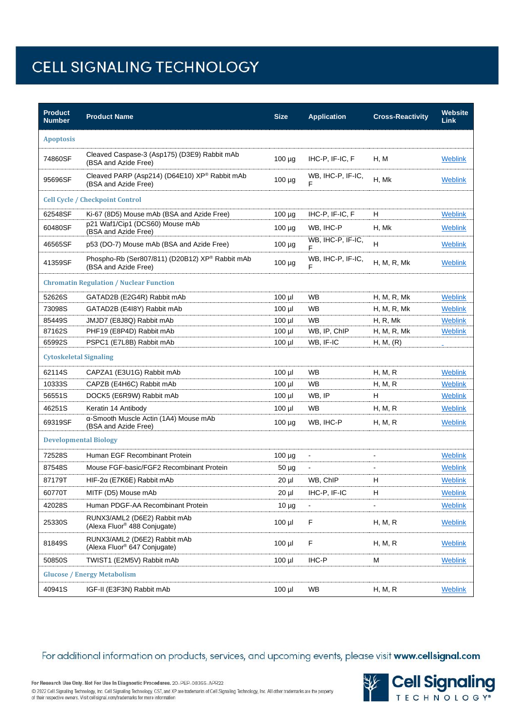| <b>Product</b><br><b>Number</b>                | <b>Product Name</b>                                                      | <b>Size</b> | <b>Application</b>       | <b>Cross-Reactivity</b> | Website<br><b>Link</b> |  |  |
|------------------------------------------------|--------------------------------------------------------------------------|-------------|--------------------------|-------------------------|------------------------|--|--|
| <b>Apoptosis</b>                               |                                                                          |             |                          |                         |                        |  |  |
| 74860SF                                        | Cleaved Caspase-3 (Asp175) (D3E9) Rabbit mAb<br>(BSA and Azide Free)     | $100 \mu g$ | IHC-P, IF-IC, F          | H, M                    | Weblink                |  |  |
| 95696SF                                        | Cleaved PARP (Asp214) (D64E10) XP® Rabbit mAb<br>(BSA and Azide Free)    | $100 \mu g$ | WB, IHC-P, IF-IC,<br>F   | H, Mk                   | Weblink                |  |  |
| <b>Cell Cycle / Checkpoint Control</b>         |                                                                          |             |                          |                         |                        |  |  |
| 62548SF                                        | Ki-67 (8D5) Mouse mAb (BSA and Azide Free)                               | $100 \mu g$ | IHC-P. IF-IC. F          | н                       | Weblink                |  |  |
| 60480SF                                        | p21 Waf1/Cip1 (DCS60) Mouse mAb<br>(BSA and Azide Free)                  | $100 \mu g$ | WB. IHC-P                | H, Mk                   | Weblink                |  |  |
| 46565SF                                        | p53 (DO-7) Mouse mAb (BSA and Azide Free)                                | $100 \mu g$ | WB, IHC-P, IF-IC,<br>F   | н                       | <b>Weblink</b>         |  |  |
| 41359SF                                        | Phospho-Rb (Ser807/811) (D20B12) XP® Rabbit mAb<br>(BSA and Azide Free)  | $100 \mu g$ | WB, IHC-P, IF-IC,<br>F   | H, M, R, Mk             | <b>Weblink</b>         |  |  |
| <b>Chromatin Regulation / Nuclear Function</b> |                                                                          |             |                          |                         |                        |  |  |
| 52626S                                         | GATAD2B (E2G4R) Rabbit mAb                                               | $100$ µl    | <b>WB</b>                | H, M, R, Mk             | Weblink                |  |  |
| 73098S                                         | GATAD2B (E4I8Y) Rabbit mAb                                               | $100$ µl    | <b>WB</b>                | H, M, R, Mk             | <b>Weblink</b>         |  |  |
| 85449S                                         | JMJD7 (E8J8Q) Rabbit mAb                                                 | $100$ $\mu$ | <b>WB</b>                | H, R, Mk                | <b>Weblink</b>         |  |  |
| 87162S                                         | PHF19 (E8P4D) Rabbit mAb                                                 | $100$ $\mu$ | WB, IP, ChIP             | H, M, R, Mk             | <b>Weblink</b>         |  |  |
| 65992S                                         | PSPC1 (E7L8B) Rabbit mAb                                                 | $100$ µl    | WB, IF-IC                | H, M, (R)               |                        |  |  |
| <b>Cytoskeletal Signaling</b>                  |                                                                          |             |                          |                         |                        |  |  |
| 62114S                                         | CAPZA1 (E3U1G) Rabbit mAb                                                | $100$ µl    | <b>WB</b>                | H, M, R                 | Weblink                |  |  |
| 10333S                                         | CAPZB (E4H6C) Rabbit mAb                                                 | $100$ µl    | <b>WB</b>                | H, M, R                 | <b>Weblink</b>         |  |  |
| 56551S                                         | DOCK5 (E6R9W) Rabbit mAb                                                 | $100$ µl    | WB, IP                   | н                       | Weblink                |  |  |
| 46251S                                         | Keratin 14 Antibody                                                      | $100$ µl    | WB                       | H, M, R                 | Weblink                |  |  |
| 69319SF                                        | a-Smooth Muscle Actin (1A4) Mouse mAb<br>(BSA and Azide Free)            | $100 \mu g$ | WB, IHC-P                | H, M, R                 | Weblink                |  |  |
| <b>Developmental Biology</b>                   |                                                                          |             |                          |                         |                        |  |  |
| 72528S                                         | Human EGF Recombinant Protein                                            | $100 \mu g$ | $\overline{\phantom{a}}$ |                         | Weblink                |  |  |
| 87548S                                         | Mouse FGF-basic/FGF2 Recombinant Protein                                 | $50 \mu g$  | $\blacksquare$           |                         | Weblink                |  |  |
| 87179T                                         | HIF-2α (E7K6E) Rabbit mAb                                                | 20 µl       | WB, ChIP                 | н                       | Weblink                |  |  |
| 60770T                                         | MITF (D5) Mouse mAb                                                      | 20 µl       | IHC-P, IF-IC             | н                       | <b>Weblink</b>         |  |  |
| 42028S                                         | Human PDGF-AA Recombinant Protein                                        | $10 \mu g$  |                          | $\overline{a}$          | <b>Weblink</b>         |  |  |
| 25330S                                         | RUNX3/AML2 (D6E2) Rabbit mAb<br>(Alexa Fluor <sup>®</sup> 488 Conjugate) | $100$ µl    | F                        | H, M, R                 | Weblink                |  |  |
| 81849S                                         | RUNX3/AML2 (D6E2) Rabbit mAb<br>(Alexa Fluor <sup>®</sup> 647 Conjugate) | $100$ $\mu$ | F                        | H, M, R                 | <b>Weblink</b>         |  |  |
| 50850S                                         | TWIST1 (E2M5V) Rabbit mAb                                                | $100$ µl    | IHC-P                    | м                       | Weblink                |  |  |
| <b>Glucose / Energy Metabolism</b>             |                                                                          |             |                          |                         |                        |  |  |
| 40941S                                         | IGF-II (E3F3N) Rabbit mAb                                                | $100$ µl    | WB                       | H, M, R                 | <b>Weblink</b>         |  |  |

For additional information on products, services, and upcoming events, please visit www.cellsignal.com



For Research Use Only. Not For Use In Diagnostic Procedures. 20-PEP-08355-APR22 @ 2022 Cell Signaling Technology, Inc. Cell Signaling Technology, CST, and XP are trademarks of Cell Signaling Technology, Inc. All other trademarks are the property<br>of their respective owners. Visit cellsignal.com/tradema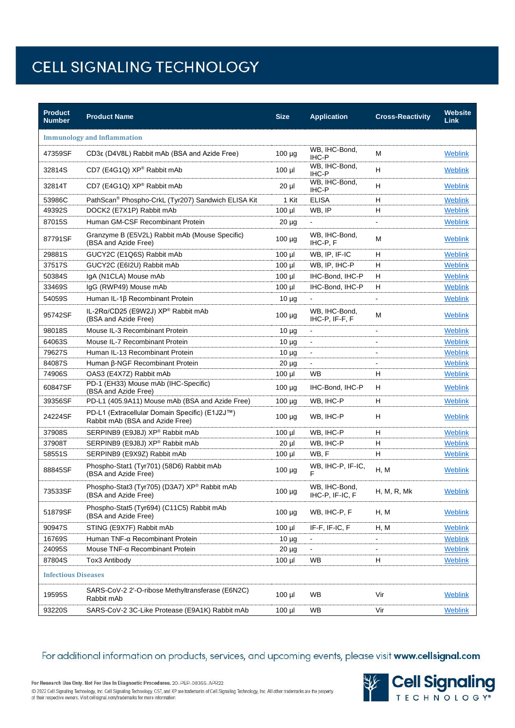| <b>Product</b><br><b>Number</b>    | <b>Product Name</b>                                                               | <b>Size</b> | <b>Application</b>               | <b>Cross-Reactivity</b> | Website<br><b>Link</b> |  |  |
|------------------------------------|-----------------------------------------------------------------------------------|-------------|----------------------------------|-------------------------|------------------------|--|--|
| <b>Immunology and Inflammation</b> |                                                                                   |             |                                  |                         |                        |  |  |
| 47359SF                            | CD3ε (D4V8L) Rabbit mAb (BSA and Azide Free)                                      | 100 µg      | WB, IHC-Bond,<br>IHC-P           | М                       | <b>Weblink</b>         |  |  |
| 32814S                             | CD7 (E4G1Q) XP® Rabbit mAb                                                        | $100$ $\mu$ | WB, IHC-Bond,<br>IHC-P           | H                       | <b>Weblink</b>         |  |  |
| 32814T                             | CD7 (E4G1Q) XP® Rabbit mAb                                                        | $20 \mu$    | WB, IHC-Bond,<br>IHC-P           | н                       | <b>Weblink</b>         |  |  |
| 53986C                             | PathScan® Phospho-CrkL (Tyr207) Sandwich ELISA Kit                                | 1 Kit       | <b>ELISA</b>                     | н                       | <b>Weblink</b>         |  |  |
| 49392S                             | DOCK2 (E7X1P) Rabbit mAb                                                          | $100$ $\mu$ | WB, IP                           | н                       | <b>Weblink</b>         |  |  |
| 87015S                             | Human GM-CSF Recombinant Protein                                                  | $20 \mu g$  |                                  | $\blacksquare$          | <b>Weblink</b>         |  |  |
| 87791SF                            | Granzyme B (E5V2L) Rabbit mAb (Mouse Specific)<br>(BSA and Azide Free)            | $100 \mu g$ | WB, IHC-Bond,<br>IHC-P, F        | М                       | Weblink                |  |  |
| 29881S                             | GUCY2C (E1Q6S) Rabbit mAb                                                         | $100$ µl    | WB, IP, IF-IC                    | н                       | <b>Weblink</b>         |  |  |
| 37517S                             | GUCY2C (E6I2U) Rabbit mAb                                                         | $100$ $\mu$ | WB, IP, IHC-P                    | H                       | <b>Weblink</b>         |  |  |
| 50384S                             | IgA (N1CLA) Mouse mAb                                                             | $100$ $\mu$ | IHC-Bond, IHC-P                  | н                       | <b>Weblink</b>         |  |  |
| 33469S                             | IgG (RWP49) Mouse mAb                                                             | 100 µl      | IHC-Bond, IHC-P                  | н                       | <b>Weblink</b>         |  |  |
| 54059S                             | Human IL-1ß Recombinant Protein                                                   | $10 \mu g$  |                                  |                         | Weblink                |  |  |
| 95742SF                            | IL-2Rα/CD25 (E9W2J) XP® Rabbit mAb<br>(BSA and Azide Free)                        | $100 \mu g$ | WB, IHC-Bond,<br>IHC-P, IF-F, F  | М                       | <b>Weblink</b>         |  |  |
| 98018S                             | Mouse IL-3 Recombinant Protein                                                    | $10 \mu g$  | $\qquad \qquad \blacksquare$     | $\blacksquare$          | <b>Weblink</b>         |  |  |
| 64063S                             | Mouse IL-7 Recombinant Protein                                                    | $10 \mu$ g  | $\blacksquare$                   |                         | <b>Weblink</b>         |  |  |
| 79627S                             | Human IL-13 Recombinant Protein                                                   | $10 \mu$ g  | $\Box$                           | $\overline{a}$          | <b>Weblink</b>         |  |  |
| 84087S                             | Human β-NGF Recombinant Protein                                                   | $20 \mu g$  |                                  |                         | Weblink                |  |  |
| 74906S                             | OAS3 (E4X7Z) Rabbit mAb                                                           | $100 \mu$   | <b>WB</b>                        | н                       | <b>Weblink</b>         |  |  |
| 60847SF                            | PD-1 (EH33) Mouse mAb (IHC-Specific)<br>(BSA and Azide Free)                      | $100 \mu g$ | IHC-Bond, IHC-P                  | H                       | <b>Weblink</b>         |  |  |
| 39356SF                            | PD-L1 (405.9A11) Mouse mAb (BSA and Azide Free)                                   | $100 \mu g$ | WB, IHC-P                        | H                       | <b>Weblink</b>         |  |  |
| 24224SF                            | PD-L1 (Extracellular Domain Specific) (E1J2J™)<br>Rabbit mAb (BSA and Azide Free) | $100 \mu g$ | WB, IHC-P                        | н                       | Weblink                |  |  |
| 37908S                             | SERPINB9 (E9J8J) XP® Rabbit mAb                                                   | $100$ $\mu$ | WB, IHC-P                        | H                       | <b>Weblink</b>         |  |  |
| 37908T                             | SERPINB9 (E9J8J) XP® Rabbit mAb                                                   | $20 \mu$    | WB, IHC-P                        | н                       | <b>Weblink</b>         |  |  |
| 58551S                             | SERPINB9 (E9X9Z) Rabbit mAb                                                       | $100$ $\mu$ | WB.F                             | H                       | <b>Weblink</b>         |  |  |
| 88845SF                            | Phospho-Stat1 (Tyr701) (58D6) Rabbit mAb<br>(BSA and Azide Free)                  | $100 \mu g$ | WB, IHC-P, IF-IC,<br>F           | H, M                    | <b>Weblink</b>         |  |  |
| 73533SF                            | Phospho-Stat3 (Tyr705) (D3A7) XP® Rabbit mAb<br>(BSA and Azide Free)              | $100 \mu g$ | WB, IHC-Bond,<br>IHC-P, IF-IC, F | H, M, R, Mk             | Weblink                |  |  |
| 51879SF                            | Phospho-Stat5 (Tyr694) (C11C5) Rabbit mAb<br>(BSA and Azide Free)                 | $100 \mu g$ | WB, IHC-P, F                     | H, M                    | Weblink                |  |  |
| 90947S                             | STING (E9X7F) Rabbit mAb                                                          | $100$ $\mu$ | IF-F, IF-IC, $F$                 | H, M                    | <b>Weblink</b>         |  |  |
| 16769S                             | Human TNF-α Recombinant Protein                                                   | $10 \mu$ g  |                                  |                         | <b>Weblink</b>         |  |  |
| 24095S                             | Mouse TNF-α Recombinant Protein                                                   | $20 \mu g$  | $\blacksquare$                   |                         | <b>Weblink</b>         |  |  |
| 87804S                             | Tox3 Antibody                                                                     | $100$ $\mu$ | WB.                              | H                       | <b>Weblink</b>         |  |  |
| <b>Infectious Diseases</b>         |                                                                                   |             |                                  |                         |                        |  |  |
| 19595S                             | SARS-CoV-2 2'-O-ribose Methyltransferase (E6N2C)<br>Rabbit mAb                    | $100$ $\mu$ | WB                               | Vir                     | <b>Weblink</b>         |  |  |
| 93220S                             | SARS-CoV-2 3C-Like Protease (E9A1K) Rabbit mAb                                    | $100$ $\mu$ | WB                               | Vir                     | <b>Weblink</b>         |  |  |

For additional information on products, services, and upcoming events, please visit www.cellsignal.com



@ 2022 Cell Signaling Technology, Inc. Cell Signaling Technology, CST, and XP are trademarks of Cell Signaling Technology, Inc. All other trademarks are the property<br>of their respective owners. Visit cellsignal.com/tradema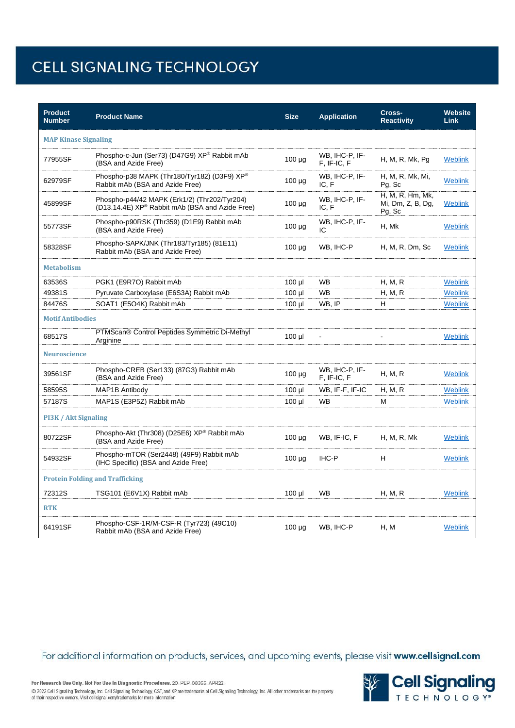| <b>Product</b><br><b>Number</b>        | <b>Product Name</b>                                                                                         | <b>Size</b> | <b>Application</b>            | Cross-<br><b>Reactivity</b>                     | <b>Website</b><br><b>Link</b> |  |  |
|----------------------------------------|-------------------------------------------------------------------------------------------------------------|-------------|-------------------------------|-------------------------------------------------|-------------------------------|--|--|
| <b>MAP Kinase Signaling</b>            |                                                                                                             |             |                               |                                                 |                               |  |  |
| 77955SF                                | Phospho-c-Jun (Ser73) (D47G9) XP® Rabbit mAb<br>(BSA and Azide Free)                                        | $100 \mu g$ | WB, IHC-P, IF-<br>F. IF-IC. F | H, M, R, Mk, Pg                                 | Weblink                       |  |  |
| 62979SF                                | Phospho-p38 MAPK (Thr180/Tyr182) (D3F9) XP®<br>Rabbit mAb (BSA and Azide Free)                              | $100 \mu g$ | WB, IHC-P, IF-<br>IC, F       | H, M, R, Mk, Mi,<br>Pg, Sc                      | Weblink                       |  |  |
| 45899SF                                | Phospho-p44/42 MAPK (Erk1/2) (Thr202/Tyr204)<br>(D13.14.4E) XP <sup>®</sup> Rabbit mAb (BSA and Azide Free) | $100 \mu g$ | WB, IHC-P, IF-<br>IC.F        | H, M, R, Hm, Mk,<br>Mi, Dm, Z, B, Dg,<br>Pg, Sc | Weblink                       |  |  |
| 55773SF                                | Phospho-p90RSK (Thr359) (D1E9) Rabbit mAb<br>(BSA and Azide Free)                                           | $100 \mu g$ | WB, IHC-P, IF-<br>IC          | H, Mk                                           | <b>Weblink</b>                |  |  |
| 58328SF                                | Phospho-SAPK/JNK (Thr183/Tyr185) (81E11)<br>Rabbit mAb (BSA and Azide Free)                                 | $100 \mu g$ | WB, IHC-P                     | H, M, R, Dm, Sc                                 | Weblink                       |  |  |
| <b>Metabolism</b>                      |                                                                                                             |             |                               |                                                 |                               |  |  |
| 63536S                                 | PGK1 (E9R7O) Rabbit mAb                                                                                     | $100$ $\mu$ | <b>WB</b>                     | H, M, R                                         | <b>Weblink</b>                |  |  |
| 49381S                                 | Pyruvate Carboxylase (E6S3A) Rabbit mAb                                                                     | $100$ $\mu$ | <b>WB</b>                     | H, M, R                                         | <b>Weblink</b>                |  |  |
| 84476S                                 | SOAT1 (E5O4K) Rabbit mAb                                                                                    | $100$ $\mu$ | WB, IP                        | H                                               | <b>Weblink</b>                |  |  |
| <b>Motif Antibodies</b>                |                                                                                                             |             |                               |                                                 |                               |  |  |
| 68517S                                 | PTMScan® Control Peptides Symmetric Di-Methyl<br>Arginine                                                   | $100$ $\mu$ | ÷,                            |                                                 | <b>Weblink</b>                |  |  |
| Neuroscience                           |                                                                                                             |             |                               |                                                 |                               |  |  |
| 39561SF                                | Phospho-CREB (Ser133) (87G3) Rabbit mAb<br>(BSA and Azide Free)                                             | 100 µg      | WB, IHC-P, IF-<br>F. IF-IC. F | H, M, R                                         | <b>Weblink</b>                |  |  |
| 58595S                                 | MAP1B Antibody                                                                                              | $100$ µl    | WB, IF-F, IF-IC               | H, M, R                                         | Weblink                       |  |  |
| 57187S                                 | MAP1S (E3P5Z) Rabbit mAb                                                                                    | $100$ $\mu$ | <b>WB</b>                     | М                                               | <b>Weblink</b>                |  |  |
| PI3K / Akt Signaling                   |                                                                                                             |             |                               |                                                 |                               |  |  |
| 80722SF                                | Phospho-Akt (Thr308) (D25E6) XP® Rabbit mAb<br>(BSA and Azide Free)                                         | $100 \mu g$ | WB, IF-IC, F                  | H, M, R, Mk                                     | <b>Weblink</b>                |  |  |
| 54932SF                                | Phospho-mTOR (Ser2448) (49F9) Rabbit mAb<br>(IHC Specific) (BSA and Azide Free)                             | $100 \mu g$ | IHC-P                         | н                                               | <b>Weblink</b>                |  |  |
| <b>Protein Folding and Trafficking</b> |                                                                                                             |             |                               |                                                 |                               |  |  |
| 72312S                                 | TSG101 (E6V1X) Rabbit mAb                                                                                   | $100$ $\mu$ | <b>WB</b>                     | H, M, R                                         | <b>Weblink</b>                |  |  |
| <b>RTK</b>                             |                                                                                                             |             |                               |                                                 |                               |  |  |
| 64191SF                                | Phospho-CSF-1R/M-CSF-R (Tyr723) (49C10)<br>Rabbit mAb (BSA and Azide Free)                                  | $100 \mu g$ | WB, IHC-P                     | H, M                                            | Weblink                       |  |  |

For additional information on products, services, and upcoming events, please visit www.cellsignal.com